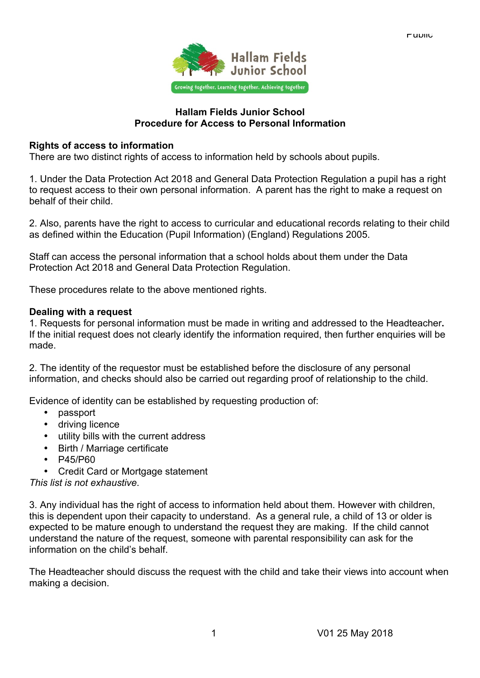

#### **Hallam Fields Junior School Procedure for Access to Personal Information**

### **Rights of access to information**

There are two distinct rights of access to information held by schools about pupils.

1. Under the Data Protection Act 2018 and General Data Protection Regulation a pupil has a right to request access to their own personal information. A parent has the right to make a request on behalf of their child.

2. Also, parents have the right to access to curricular and educational records relating to their child as defined within the Education (Pupil Information) (England) Regulations 2005.

Staff can access the personal information that a school holds about them under the Data Protection Act 2018 and General Data Protection Regulation.

These procedures relate to the above mentioned rights.

## **Dealing with a request**

1. Requests for personal information must be made in writing and addressed to the Headteacher**.**  If the initial request does not clearly identify the information required, then further enquiries will be made.

2. The identity of the requestor must be established before the disclosure of any personal information, and checks should also be carried out regarding proof of relationship to the child.

Evidence of identity can be established by requesting production of:

- passport
- driving licence
- utility bills with the current address
- Birth / Marriage certificate
- P45/P60
- Credit Card or Mortgage statement

*This list is not exhaustive*.

3. Any individual has the right of access to information held about them. However with children, this is dependent upon their capacity to understand. As a general rule, a child of 13 or older is expected to be mature enough to understand the request they are making. If the child cannot understand the nature of the request, someone with parental responsibility can ask for the information on the child's behalf.

The Headteacher should discuss the request with the child and take their views into account when making a decision.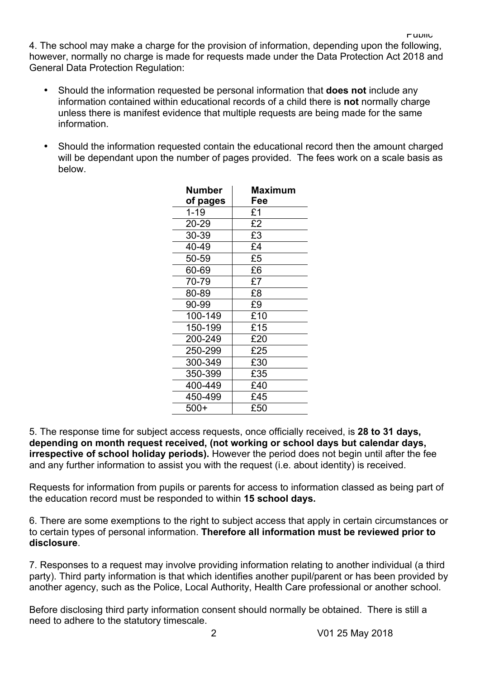4. The school may make a charge for the provision of information, depending upon the following, however, normally no charge is made for requests made under the Data Protection Act 2018 and General Data Protection Regulation:

- Should the information requested be personal information that **does not** include any information contained within educational records of a child there is **not** normally charge unless there is manifest evidence that multiple requests are being made for the same information.
- Should the information requested contain the educational record then the amount charged will be dependant upon the number of pages provided. The fees work on a scale basis as below.

| <b>Number</b><br>of pages | Maximum<br>Fee |
|---------------------------|----------------|
| $1 - 19$                  | £1             |
| 20-29                     | £2             |
| 30-39                     | £3             |
| 40-49                     | £4             |
| 50-59                     | £5             |
| 60-69                     | £6             |
| 70-79                     | £7             |
| 80-89                     | £8             |
| 90-99                     | £9             |
| 100-149                   | £10            |
| 150-199                   | £15            |
| 200-249                   | £20            |
| 250-299                   | £25            |
| 300-349                   | £30            |
| 350-399                   | £35            |
| 400-449                   | £40            |
| 450-499                   | £45            |
| $500+$                    | £50            |

5. The response time for subject access requests, once officially received, is **28 to 31 days, depending on month request received, (not working or school days but calendar days, irrespective of school holiday periods).** However the period does not begin until after the fee and any further information to assist you with the request (i.e. about identity) is received.

Requests for information from pupils or parents for access to information classed as being part of the education record must be responded to within **15 school days.**

6. There are some exemptions to the right to subject access that apply in certain circumstances or to certain types of personal information. **Therefore all information must be reviewed prior to disclosure**.

7. Responses to a request may involve providing information relating to another individual (a third party). Third party information is that which identifies another pupil/parent or has been provided by another agency, such as the Police, Local Authority, Health Care professional or another school.

Before disclosing third party information consent should normally be obtained. There is still a need to adhere to the statutory timescale.

Public